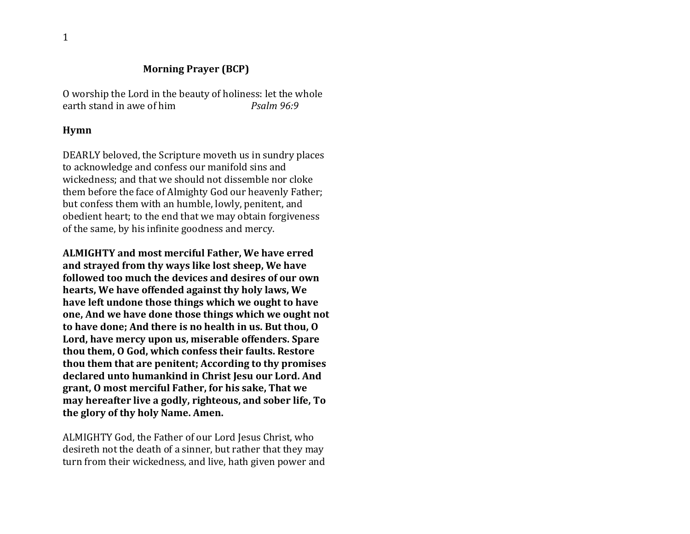#### **Morning Prayer (BCP)**

O worship the Lord in the beauty of holiness: let the whole earth stand in awe of him *Psalm 96:9*

#### **Hymn**

DEARLY beloved, the Scripture moveth us in sundry places to acknowledge and confess our manifold sins and wickedness; and that we should not dissemble nor cloke them before the face of Almighty God our heavenly Father; but confess them with an humble, lowly, penitent, and obedient heart; to the end that we may obtain forgiveness of the same, by his infinite goodness and mercy.

**ALMIGHTY and most merciful Father, We have erred and strayed from thy ways like lost sheep, We have followed too much the devices and desires of our own hearts, We have offended against thy holy laws, We have left undone those things which we ought to have one, And we have done those things which we ought not to have done; And there is no health in us. But thou, O Lord, have mercy upon us, miserable offenders. Spare thou them, O God, which confess their faults. Restore thou them that are penitent; According to thy promises declared unto humankind in Christ Jesu our Lord. And grant, O most merciful Father, for his sake, That we may hereafter live a godly, righteous, and sober life, To the glory of thy holy Name. Amen.**

ALMIGHTY God, the Father of our Lord Jesus Christ, who desireth not the death of a sinner, but rather that they may turn from their wickedness, and live, hath given power and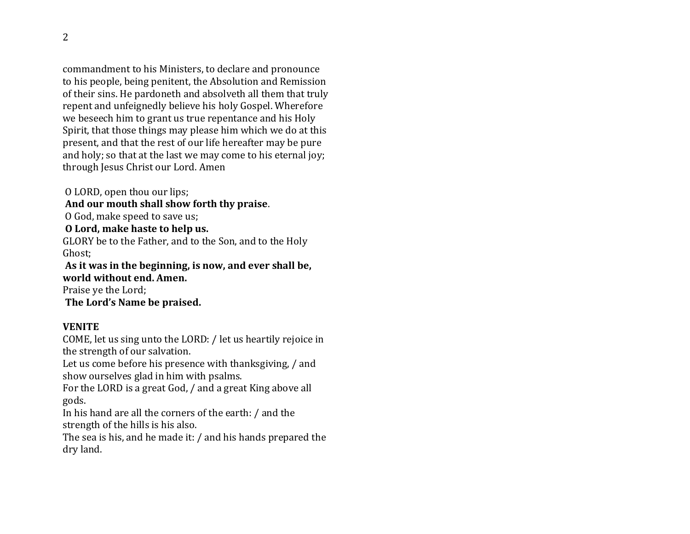commandment to his Ministers, to declare and pronounce to his people, being penitent, the Absolution and Remission of their sins. He pardoneth and absolveth all them that truly repent and unfeignedly believe his holy Gospel. Wherefore we beseech him to grant us true repentance and his Holy Spirit, that those things may please him which we do at this present, and that the rest of our life hereafter may be pure and holy; so that at the last we may come to his eternal joy; through Jesus Christ our Lord. Amen

O LORD, open thou our lips; **And our mouth shall show forth thy praise**. O God, make speed to save us; **O Lord, make haste to help us.**  GLORY be to the Father, and to the Son, and to the Holy Ghost; **As it was in the beginning, is now, and ever shall be, world without end. Amen.** 

Praise ye the Lord; **The Lord's Name be praised.**

### **VENITE**

COME, let us sing unto the LORD: / let us heartily rejoice in the strength of our salvation.

Let us come before his presence with thanksgiving, / and show ourselves glad in him with psalms.

For the LORD is a great God, / and a great King above all gods.

In his hand are all the corners of the earth: / and the strength of the hills is his also.

The sea is his, and he made it: / and his hands prepared the dry land.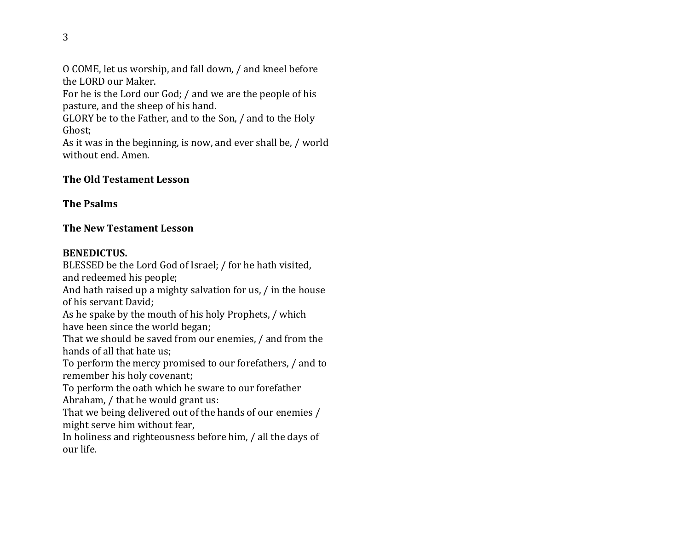O COME, let us worship, and fall down, / and kneel before the LORD our Maker.

For he is the Lord our God; / and we are the people of his pasture, and the sheep of his hand.

GLORY be to the Father, and to the Son, / and to the Holy Ghost;

As it was in the beginning, is now, and ever shall be, / world without end. Amen.

## **The Old Testament Lesson**

## **The Psalms**

# **The New Testament Lesson**

# **BENEDICTUS.**

BLESSED be the Lord God of Israel; / for he hath visited, and redeemed his people; And hath raised up a mighty salvation for us, / in the house of his servant David; As he spake by the mouth of his holy Prophets, / which have been since the world began; That we should be saved from our enemies, / and from the hands of all that hate us; To perform the mercy promised to our forefathers, / and to remember his holy covenant; To perform the oath which he sware to our forefather Abraham, / that he would grant us: That we being delivered out of the hands of our enemies /

might serve him without fear,

In holiness and righteousness before him, / all the days of our life.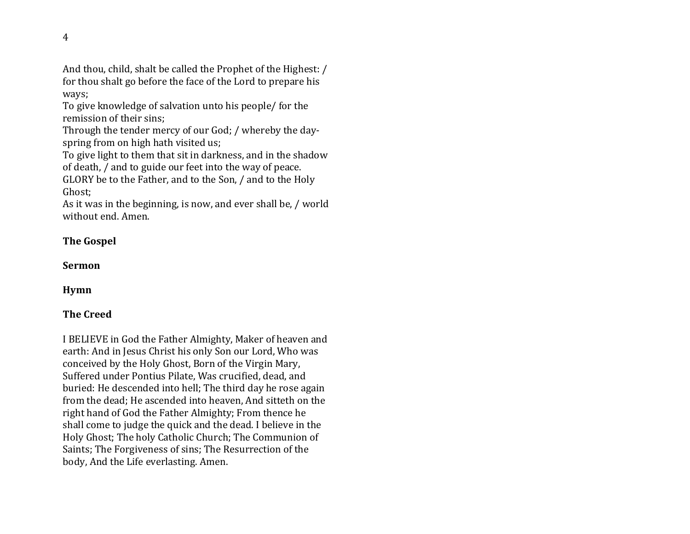And thou, child, shalt be called the Prophet of the Highest: / for thou shalt go before the face of the Lord to prepare his ways;

To give knowledge of salvation unto his people/ for the remission of their sins;

Through the tender mercy of our God; / whereby the dayspring from on high hath visited us;

To give light to them that sit in darkness, and in the shadow of death, / and to guide our feet into the way of peace. GLORY be to the Father, and to the Son, / and to the Holy Ghost;

As it was in the beginning, is now, and ever shall be, / world without end. Amen.

## **The Gospel**

**Sermon**

**Hymn**

# **The Creed**

I BELIEVE in God the Father Almighty, Maker of heaven and earth: And in Jesus Christ his only Son our Lord, Who was conceived by the Holy Ghost, Born of the Virgin Mary, Suffered under Pontius Pilate, Was crucified, dead, and buried: He descended into hell; The third day he rose again from the dead; He ascended into heaven, And sitteth on the right hand of God the Father Almighty; From thence he shall come to judge the quick and the dead. I believe in the Holy Ghost; The holy Catholic Church; The Communion of Saints; The Forgiveness of sins; The Resurrection of the body, And the Life everlasting. Amen.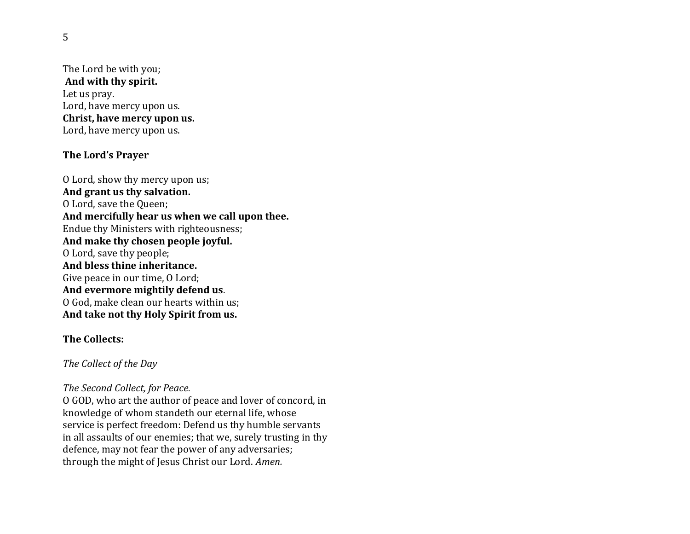The Lord be with you; **And with thy spirit.**  Let us pray. Lord, have mercy upon us. **Christ, have mercy upon us.**  Lord, have mercy upon us.

### **The Lord's Prayer**

O Lord, show thy mercy upon us; **And grant us thy salvation.**  O Lord, save the Queen; **And mercifully hear us when we call upon thee.** Endue thy Ministers with righteousness; **And make thy chosen people joyful.**  O Lord, save thy people; **And bless thine inheritance.**  Give peace in our time, O Lord; **And evermore mightily defend us**. O God, make clean our hearts within us; **And take not thy Holy Spirit from us.** 

### **The Collects:**

#### *The Collect of the Day*

#### *The Second Collect, for Peace.*

O GOD, who art the author of peace and lover of concord, in knowledge of whom standeth our eternal life, whose service is perfect freedom: Defend us thy humble servants in all assaults of our enemies; that we, surely trusting in thy defence, may not fear the power of any adversaries; through the might of Jesus Christ our Lord. *Amen.*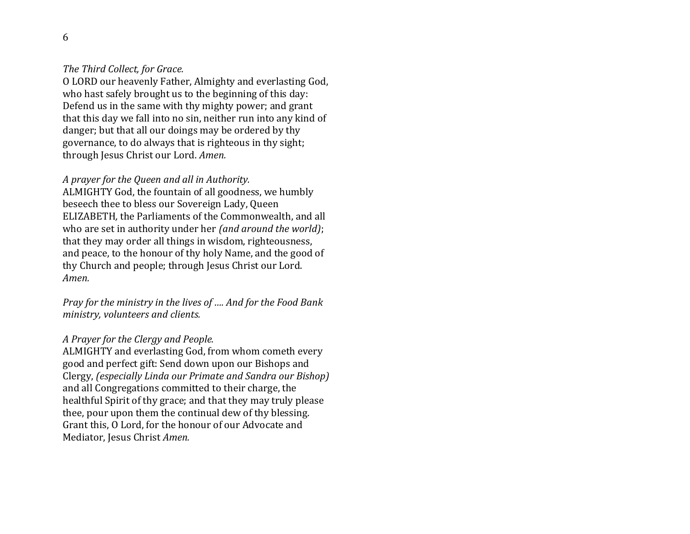#### *The Third Collect, for Grace.*

O LORD our heavenly Father, Almighty and everlasting God, who hast safely brought us to the beginning of this day: Defend us in the same with thy mighty power; and grant that this day we fall into no sin, neither run into any kind of danger; but that all our doings may be ordered by thy governance, to do always that is righteous in thy sight; through Jesus Christ our Lord. *Amen.* 

#### *A prayer for the Queen and all in Authority.*

ALMIGHTY God, the fountain of all goodness, we humbly beseech thee to bless our Sovereign Lady, Queen ELIZABETH*,* the Parliaments of the Commonwealth, and all who are set in authority under her *(and around the world)*; that they may order all things in wisdom, righteousness, and peace, to the honour of thy holy Name, and the good of thy Church and people; through Jesus Christ our Lord. *Amen.* 

*Pray for the ministry in the lives of …. And for the Food Bank ministry, volunteers and clients.*

#### *A Prayer for the Clergy and People.*

ALMIGHTY and everlasting God, from whom cometh every good and perfect gift: Send down upon our Bishops and Clergy, *(especially Linda our Primate and Sandra our Bishop)*  and all Congregations committed to their charge, the healthful Spirit of thy grace; and that they may truly please thee, pour upon them the continual dew of thy blessing. Grant this, O Lord, for the honour of our Advocate and Mediator, Jesus Christ *Amen.*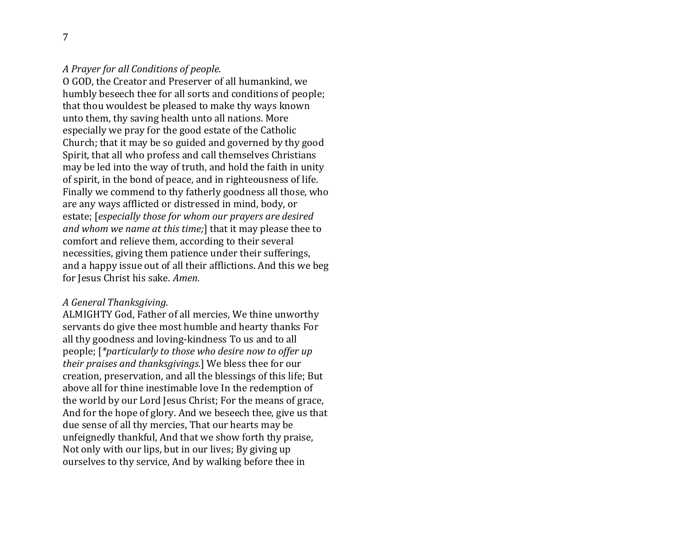*A Prayer for all Conditions of people.* 

O GOD, the Creator and Preserver of all humankind, we humbly beseech thee for all sorts and conditions of people; that thou wouldest be pleased to make thy ways known unto them, thy saving health unto all nations. More especially we pray for the good estate of the Catholic Church; that it may be so guided and governed by thy good Spirit, that all who profess and call themselves Christians may be led into the way of truth, and hold the faith in unity of spirit, in the bond of peace, and in righteousness of life. Finally we commend to thy fatherly goodness all those, who are any ways afflicted or distressed in mind, body, or estate; [*especially those for whom our prayers are desired and whom we name at this time;*] that it may please thee to comfort and relieve them, according to their several necessities, giving them patience under their sufferings, and a happy issue out of all their afflictions. And this we beg for Jesus Christ his sake. *Amen.* 

### *A General Thanksgiving.*

ALMIGHTY God, Father of all mercies, We thine unworthy servants do give thee most humble and hearty thanks For all thy goodness and loving-kindness To us and to all people; [*\*particularly to those who desire now to offer up their praises and thanksgivings.*] We bless thee for our creation, preservation, and all the blessings of this life; But above all for thine inestimable love In the redemption of the world by our Lord Jesus Christ; For the means of grace, And for the hope of glory. And we beseech thee, give us that due sense of all thy mercies, That our hearts may be unfeignedly thankful, And that we show forth thy praise, Not only with our lips, but in our lives; By giving up ourselves to thy service, And by walking before thee in